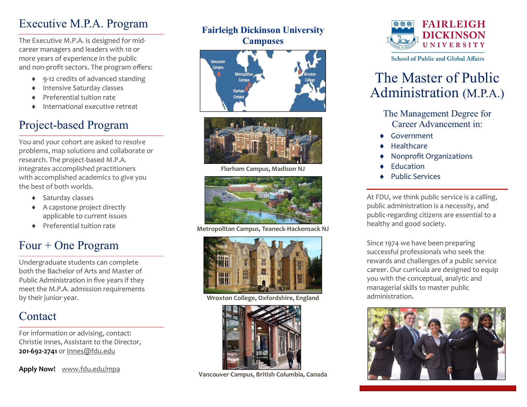## Executive M.P.A. Program

The Executive M.P.A. is designed for midcareer managers and leaders with 10 or more years of experience in the public and non-profit sectors. The program offers:

- 9-12 credits of advanced standing
- ◆ Intensive Saturday classes
- Preferential tuition rate
- International executive retreat

## Project-based Program

You and your cohort are asked to resolve problems, map solutions and collaborate on research. The project-based M.P.A. integrates accomplished practitioners with accomplished academics to give you the best of both worlds.

- ◆ Saturday classes
- A capstone project directly applicable to current issues
- Preferential tuition rate

## Four + One Program

Undergraduate students can complete both the Bachelor of Arts and Master of Public Administration in five years if they meet the M.P.A. admission requirements by their junior year.

## **Contact**

For information or advising, contact: Christie Innes, Assistant to the Director, 201-692-2741 or Innes@fdu.edu

Apply Now! www.fdu.edu/mpa

### Fairleigh Dickinson University **Campuses**





Florham Campus, Madison NJ



Metropolitan Campus, Teaneck-Hackensack NJ



Wroxton College, Oxfordshire, England



Vancouver Campus, British Columbia, Canada



**School of Public and Global Affairs** 

# The Master of Public Administration (M.P.A.)

The Management Degree for Career Advancement in:

- Government
- Healthcare
- Nonprofit Organizations
- Education
- Public Services

At FDU, we think public service is a calling, public administration is a necessity, and public-regarding citizens are essential to a healthy and good society.

Since 1974 we have been preparing successful professionals who seek the rewards and challenges of a public service career. Our curricula are designed to equip you with the conceptual, analytic and managerial skills to master public administration.